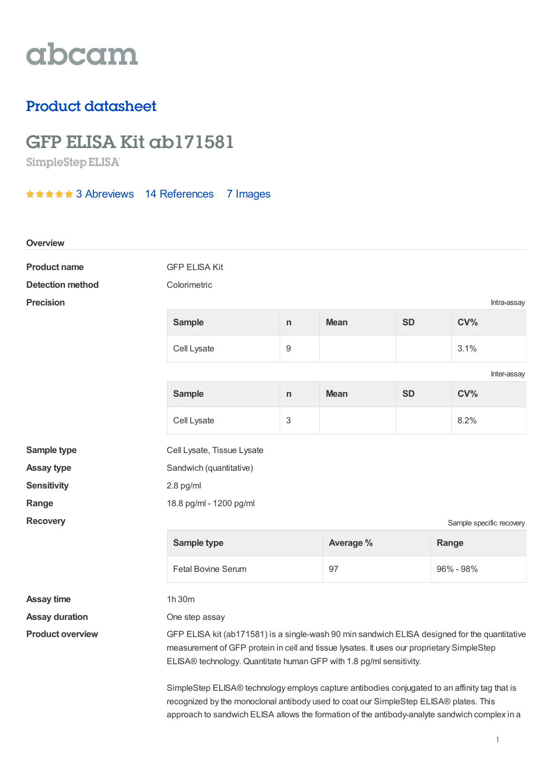## abcam

### Product datasheet

# GFP ELISA Kit ab171581<br>SimpleStep ELISA

**★★★★★ 3 [Abreviews](https://www.abcam.com/gfp-elisa-kit-ab171581.html?productWallTab=Abreviews) 14 [References](https://www.abcam.com/gfp-elisa-kit-ab171581.html#description_references) 7 Images** 

| <b>Overview</b>         |                                                                                                                                                                                                                                                                                         |                  |             |           |                          |  |
|-------------------------|-----------------------------------------------------------------------------------------------------------------------------------------------------------------------------------------------------------------------------------------------------------------------------------------|------------------|-------------|-----------|--------------------------|--|
| <b>Product name</b>     | <b>GFP ELISA Kit</b>                                                                                                                                                                                                                                                                    |                  |             |           |                          |  |
| <b>Detection method</b> | Colorimetric                                                                                                                                                                                                                                                                            |                  |             |           |                          |  |
| <b>Precision</b>        |                                                                                                                                                                                                                                                                                         |                  |             |           | Intra-assay              |  |
|                         | <b>Sample</b>                                                                                                                                                                                                                                                                           | $\mathsf{n}$     | <b>Mean</b> | <b>SD</b> | CV <sub>0</sub>          |  |
|                         | Cell Lysate                                                                                                                                                                                                                                                                             | $\boldsymbol{9}$ |             |           | 3.1%                     |  |
|                         |                                                                                                                                                                                                                                                                                         |                  |             |           | Inter-assay              |  |
|                         | <b>Sample</b>                                                                                                                                                                                                                                                                           | $\mathsf{n}$     | <b>Mean</b> | <b>SD</b> | CV <sub>0</sub>          |  |
|                         | Cell Lysate                                                                                                                                                                                                                                                                             | 3                |             |           | 8.2%                     |  |
| Sample type             | Cell Lysate, Tissue Lysate                                                                                                                                                                                                                                                              |                  |             |           |                          |  |
| <b>Assay type</b>       | Sandwich (quantitative)                                                                                                                                                                                                                                                                 |                  |             |           |                          |  |
| <b>Sensitivity</b>      | $2.8$ pg/ml                                                                                                                                                                                                                                                                             |                  |             |           |                          |  |
| Range                   | 18.8 pg/ml - 1200 pg/ml                                                                                                                                                                                                                                                                 |                  |             |           |                          |  |
| <b>Recovery</b>         |                                                                                                                                                                                                                                                                                         |                  |             |           | Sample specific recovery |  |
|                         | Sample type                                                                                                                                                                                                                                                                             |                  | Average %   |           | Range                    |  |
|                         | <b>Fetal Bovine Serum</b>                                                                                                                                                                                                                                                               |                  | 97          |           | 96% - 98%                |  |
| <b>Assay time</b>       | 1h 30m                                                                                                                                                                                                                                                                                  |                  |             |           |                          |  |
| <b>Assay duration</b>   | One step assay                                                                                                                                                                                                                                                                          |                  |             |           |                          |  |
| <b>Product overview</b> | GFP ELISA kit (ab171581) is a single-wash 90 min sandwich ELISA designed for the quantitative<br>measurement of GFP protein in cell and tissue lysates. It uses our proprietary SimpleStep<br>ELISA® technology. Quantitate human GFP with 1.8 pg/ml sensitivity.                       |                  |             |           |                          |  |
|                         | SimpleStep ELISA® technology employs capture antibodies conjugated to an affinity tag that is<br>recognized by the monoclonal antibody used to coat our SimpleStep ELISA® plates. This<br>approach to sandwich ELISA allows the formation of the antibody-analyte sandwich complex in a |                  |             |           |                          |  |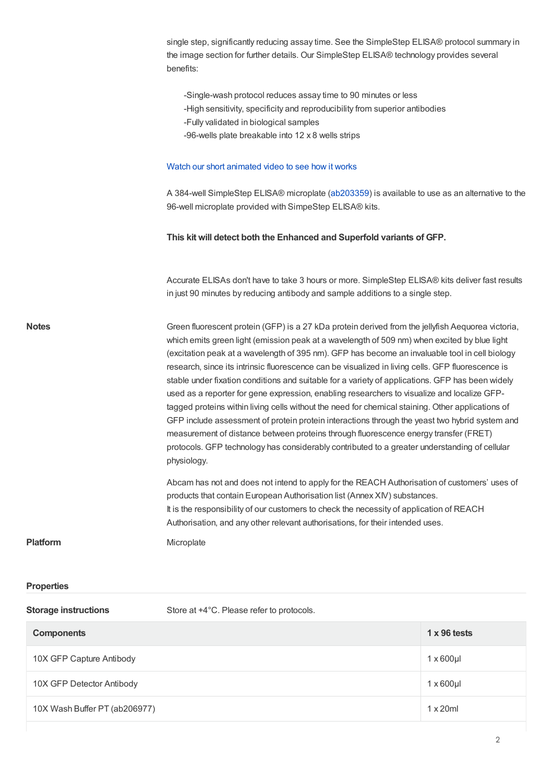|                             | single step, significantly reducing assay time. See the SimpleStep ELISA® protocol summary in<br>the image section for further details. Our SimpleStep ELISA® technology provides several<br>benefits:                                                                                                                                                                                                                                                                                                                                                                                                                                                                                                                                                                                                                                                                                                                                                                                                                     |                     |  |  |
|-----------------------------|----------------------------------------------------------------------------------------------------------------------------------------------------------------------------------------------------------------------------------------------------------------------------------------------------------------------------------------------------------------------------------------------------------------------------------------------------------------------------------------------------------------------------------------------------------------------------------------------------------------------------------------------------------------------------------------------------------------------------------------------------------------------------------------------------------------------------------------------------------------------------------------------------------------------------------------------------------------------------------------------------------------------------|---------------------|--|--|
|                             | -Single-wash protocol reduces assay time to 90 minutes or less<br>-High sensitivity, specificity and reproducibility from superior antibodies<br>-Fully validated in biological samples<br>-96-wells plate breakable into 12 x 8 wells strips                                                                                                                                                                                                                                                                                                                                                                                                                                                                                                                                                                                                                                                                                                                                                                              |                     |  |  |
|                             | Watch our short animated video to see how it works                                                                                                                                                                                                                                                                                                                                                                                                                                                                                                                                                                                                                                                                                                                                                                                                                                                                                                                                                                         |                     |  |  |
|                             | A 384-well SimpleStep ELISA® microplate (ab203359) is available to use as an alternative to the<br>96-well microplate provided with SimpeStep ELISA® kits.                                                                                                                                                                                                                                                                                                                                                                                                                                                                                                                                                                                                                                                                                                                                                                                                                                                                 |                     |  |  |
|                             | This kit will detect both the Enhanced and Superfold variants of GFP.                                                                                                                                                                                                                                                                                                                                                                                                                                                                                                                                                                                                                                                                                                                                                                                                                                                                                                                                                      |                     |  |  |
|                             | Accurate ELISAs don't have to take 3 hours or more. SimpleStep ELISA® kits deliver fast results<br>in just 90 minutes by reducing antibody and sample additions to a single step.                                                                                                                                                                                                                                                                                                                                                                                                                                                                                                                                                                                                                                                                                                                                                                                                                                          |                     |  |  |
| <b>Notes</b>                | Green fluorescent protein (GFP) is a 27 kDa protein derived from the jellyfish Aequorea victoria,<br>which emits green light (emission peak at a wavelength of 509 nm) when excited by blue light<br>(excitation peak at a wavelength of 395 nm). GFP has become an invaluable tool in cell biology<br>research, since its intrinsic fluorescence can be visualized in living cells. GFP fluorescence is<br>stable under fixation conditions and suitable for a variety of applications. GFP has been widely<br>used as a reporter for gene expression, enabling researchers to visualize and localize GFP-<br>tagged proteins within living cells without the need for chemical staining. Other applications of<br>GFP include assessment of protein protein interactions through the yeast two hybrid system and<br>measurement of distance between proteins through fluorescence energy transfer (FRET)<br>protocols. GFP technology has considerably contributed to a greater understanding of cellular<br>physiology. |                     |  |  |
|                             | Abcam has not and does not intend to apply for the REACH Authorisation of customers' uses of<br>products that contain European Authorisation list (Annex XIV) substances.<br>It is the responsibility of our customers to check the necessity of application of REACH<br>Authorisation, and any other relevant authorisations, for their intended uses.                                                                                                                                                                                                                                                                                                                                                                                                                                                                                                                                                                                                                                                                    |                     |  |  |
| <b>Platform</b>             | Microplate                                                                                                                                                                                                                                                                                                                                                                                                                                                                                                                                                                                                                                                                                                                                                                                                                                                                                                                                                                                                                 |                     |  |  |
| <b>Properties</b>           |                                                                                                                                                                                                                                                                                                                                                                                                                                                                                                                                                                                                                                                                                                                                                                                                                                                                                                                                                                                                                            |                     |  |  |
| <b>Storage instructions</b> | Store at +4°C. Please refer to protocols.                                                                                                                                                                                                                                                                                                                                                                                                                                                                                                                                                                                                                                                                                                                                                                                                                                                                                                                                                                                  |                     |  |  |
| <b>Components</b>           |                                                                                                                                                                                                                                                                                                                                                                                                                                                                                                                                                                                                                                                                                                                                                                                                                                                                                                                                                                                                                            | $1 \times 96$ tests |  |  |
| 10X GFP Capture Antibody    |                                                                                                                                                                                                                                                                                                                                                                                                                                                                                                                                                                                                                                                                                                                                                                                                                                                                                                                                                                                                                            | $1 \times 600$ µl   |  |  |
| 10X GFP Detector Antibody   |                                                                                                                                                                                                                                                                                                                                                                                                                                                                                                                                                                                                                                                                                                                                                                                                                                                                                                                                                                                                                            | $1 \times 600$ µl   |  |  |

10X Wash Buffer PT (ab206977) 1 x 20ml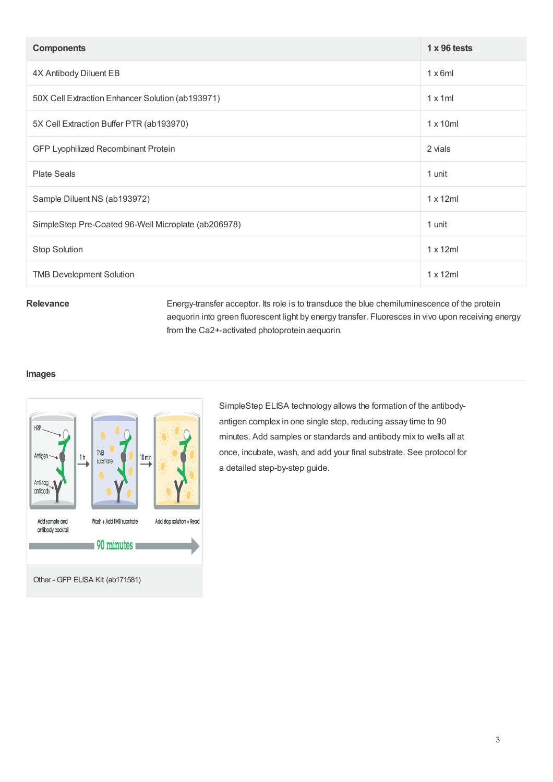| <b>Components</b>                                   | $1 \times 96$ tests |
|-----------------------------------------------------|---------------------|
| 4X Antibody Diluent EB                              | $1 \times 6$ ml     |
| 50X Cell Extraction Enhancer Solution (ab193971)    | $1 \times 1$ ml     |
| 5X Cell Extraction Buffer PTR (ab193970)            | $1 \times 10$ ml    |
| GFP Lyophilized Recombinant Protein                 | 2 vials             |
| <b>Plate Seals</b>                                  | 1 unit              |
| Sample Diluent NS (ab193972)                        | $1 \times 12$ ml    |
| SimpleStep Pre-Coated 96-Well Microplate (ab206978) | 1 unit              |
| Stop Solution                                       | $1 \times 12$ ml    |
| <b>TMB Development Solution</b>                     | $1 \times 12$ ml    |

Relevance Energy-transfer acceptor. Its role is to transduce the blue chemiluminescence of the protein aequorin into green fluorescent light by energy transfer. Fluoresces in vivo upon receiving energy from the Ca2+-activated photoprotein aequorin.

#### **Images**



SimpleStep ELISA technology allows the formation of the antibodyantigen complex in one single step, reducing assay time to 90 minutes. Add samples or standards and antibody mix to wells all at once, incubate, wash, and add your final substrate. See protocol for a detailed step-by-step guide.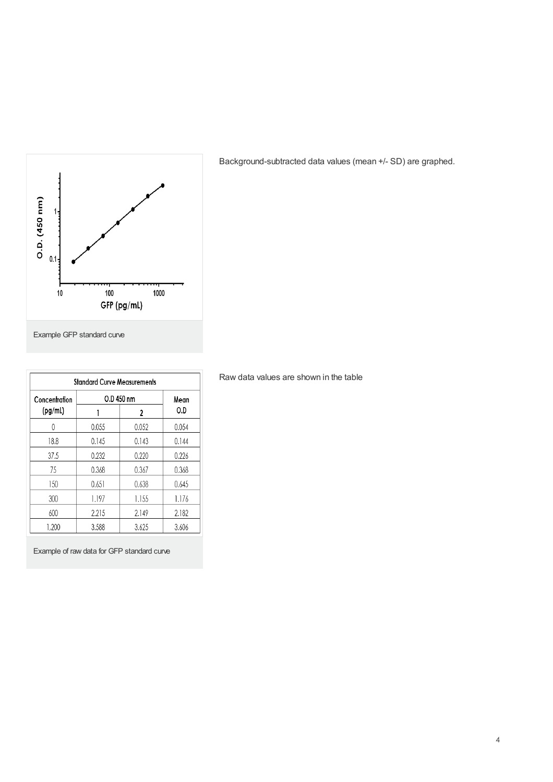

Background-subtracted data values (mean +/- SD) are graphed.

Example GFP standard curve

| <b>Standard Curve Measurements</b> |            |       |       |  |
|------------------------------------|------------|-------|-------|--|
| Concentration                      | O.D 450 nm | Mean  |       |  |
| (pg/ml)                            |            | 2     | O.D   |  |
| 0                                  | 0.055      | 0.052 | 0.054 |  |
| 18.8                               | 0.145      | 0.143 | 0.144 |  |
| 37.5                               | 0.232      | 0.220 | 0.226 |  |
| 75                                 | 0.368      | 0.367 | 0.368 |  |
| 150                                | 0.651      | 0.638 | 0.645 |  |
| 300                                | 1.197      | 1.155 | 1.176 |  |
| 600                                | 2.215      | 2.149 | 2.182 |  |
| 1,200                              | 3.588      | 3.625 | 3.606 |  |

Example of raw data for GFP standard curve

Raw data values are shown in the table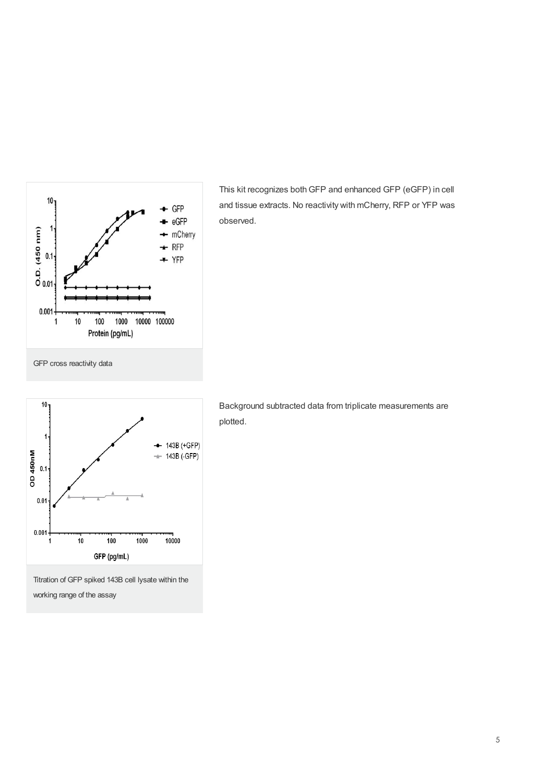

This kit recognizes bothGFP and enhanced GFP (eGFP) in cell and tissue extracts. No reactivity with mCherry, RFP or YFP was observed.



Titration of GFP spiked 143B cell lysate within the working range of the assay

Background subtracted data from triplicate measurements are plotted.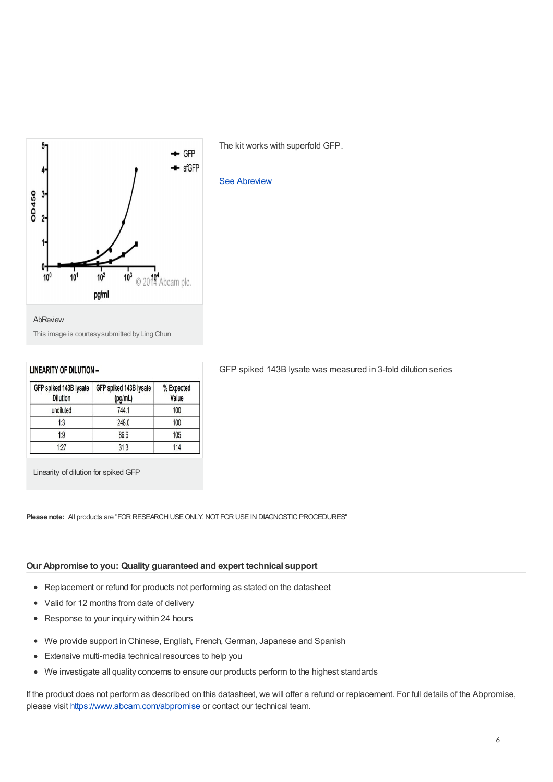

The kit works with superfold GFP.

#### See [Abreview](gfp-elisa-kit-ab171581/reviews/45516?productWallTab=Abreviews)

This image is courtesysubmitted byLing Chun

#### **LINEARITY OF DILUTION -**

| GFP spiked 143B lysate<br><b>Dilution</b> | GFP spiked 143B lysate<br>(pg/mL) | % Expected<br>Value |  |
|-------------------------------------------|-----------------------------------|---------------------|--|
| undiluted                                 | 744.1                             | 100                 |  |
| 1:3                                       | 248.0                             | 100                 |  |
| 1:9                                       | 86.6                              | 105                 |  |
| 1:27                                      | 31.3                              | 114                 |  |

Linearity of dilution for spiked GFP

**Please note:** All products are "FOR RESEARCH USE ONLY NOT FOR USE IN DIAGNOSTIC PROCEDURES"

#### **Our Abpromise to you: Quality guaranteed and expert technical support**

- Replacement or refund for products not performing as stated on the datasheet
- Valid for 12 months from date of delivery
- Response to your inquiry within 24 hours
- We provide support in Chinese, English, French, German, Japanese and Spanish  $\bullet$
- $\bullet$ Extensive multi-media technical resources to help you
- We investigate all quality concerns to ensure our products perform to the highest standards  $\bullet$

If the product does not perform as described on this datasheet, we will offer a refund or replacement. For full details of the Abpromise, please visit <https://www.abcam.com/abpromise> or contact our technical team.

#### GFP spiked 143B lysate was measured in 3-fold dilution series